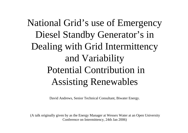# National Grid's use of Emergency Diesel Standby Generator's in Dealing with Grid Intermittency and Variability Potential Contribution in Assisting Renewables

David Andrews, Senior Technical Consultant, Biwater Energy.

(A talk originally given by as the Energy Manager at Wessex Water at an Open University Conference on Intermittency, 24th Jan 2006)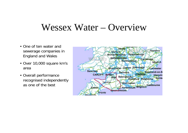### Wessex Water – Overview

- One of ten water and sewerage companies in England and Wales
- Over 10,000 square km's area
- Overall performance recognised independently as one of the best

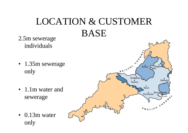### LOCATION & CUSTOMER BASE2.5m sewerage

Crawl

Bridgwater

Tauriton

Bristol Chippen

Dorchester<br>Dorchester

FNGLISH CHAPT

Yemdi

Salisbur

 $n^{B}$ 

• 1.35m sewerage only

individuals

- 1.1m water and sewerage
- 0.13m water only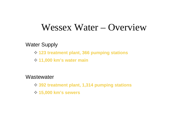### Wessex Water – Overview

Water Supply

- **123 treatment plant, 366 pumping stations**
- **11,000 km's water main**

**Wastewater** 

- **392 treatment plant, 1,314 pumping stations**
- **15,000 km's sewers**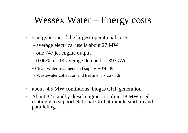## Wessex Water – Energy costs

- $\bullet$  Energy is one of the largest operational costs
	- average electrical use is about 27 MW
	- $=$  one 747 jet engine output
	- $= 0.06\%$  of UK average demand of 39 GWe
	- Clean Water treatment and supply  $\sim \text{\pounds}4$  8m
		- Wastewater collection and treatment  $\sim$  £6 10m
- $\bullet$ about 4.5 MW continuous biogas CHP generation
- $\bullet$  About 32 standby diesel engines, totaling 18 MW used routinely to support National Grid, 4 minute start up and paralleling.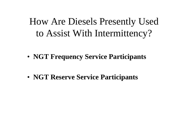How Are Diesels Presently Used to Assist With Intermittency?

• **NGT Frequency Service Participants**

• **NGT Reserve Service Participants**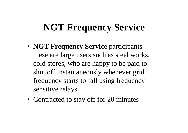# **NGT Frequency Service**

- **NGT Frequency Service** participants these are large users such as steel works, cold stores, who are happy to be paid to shut off instantaneously whenever grid frequency starts to fall using frequency sensitive relays
- Contracted to stay off for 20 minutes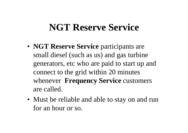## **NGT Reserve Service**

- **NGT Reserve Service** participants are small diesel (such as us) and gas turbine generators, etc who are paid to start up and connect to the grid within 20 minutes whenever **Frequency Service** customers are called.
- Must be reliable and able to stay on and run for an hour or so.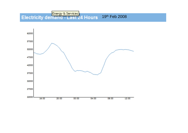### **Energy & Services**<br>Electricity demand - Last 24 Hours 19th Feb 2008

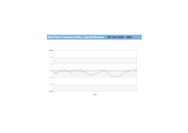#### Real Time Frequency Data - Last 60 Minutes 19th Feb 2008 - 1800



49.97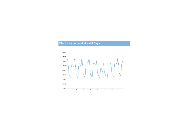#### **Electricity demand - Last 8 Days**

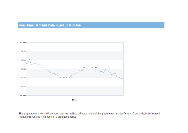#### Real Time Demand Data - Last 60 Minutes



50,322

The graph above shows MW demand over the last hour. Please note that the graph refreshes itself every 15 seconds, but may need manually refreshing if left open for a prolonged period.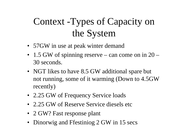# Context -Types of Capacity on the System

- 57GW in use at peak winter demand
- 1.5 GW of spinning reserve can come on in 20 30 seconds.
- NGT likes to have 8.5 GW additional spare but not running, some of it warming (Down to 4.5GW recently)
- 2.25 GW of Frequency Service loads
- 2.25 GW of Reserve Service diesels etc
- 2 GW? Fast response plant
- Dinorwig and Ffestiniog 2 GW in 15 secs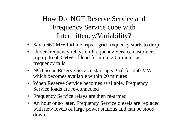### How Do NGT Reserve Service and Frequency Service cope with Intermittency/Variability?

- Say a 660 MW turbine trips grid frequency starts to drop
- Under frequency relays on Frequency Service customers trip up to 660 MW of load for up to 20 minutes as frequency falls
- NGT issue Reserve Service start up signal for 660 MW which becomes available within 20 minutes
- When Reserve Service becomes available, Frequency Service loads are re-connected
- Frequency Service relays are then re-armed
- $\bullet$  An hour or so later, Frequency Service diesels are replaced with new levels of large power stations and can be stood down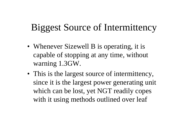# Biggest Source of Intermittency

- Whenever Sizewell B is operating, it is capable of stopping at any time, without warning 1.3GW.
- This is the largest source of intermittency, since it is the largest power generating unit which can be lost, yet NGT readily copes with it using methods outlined over leaf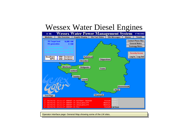### Wessex Water Diesel Engines



Operator interface page: General Map showing some of the LM sites.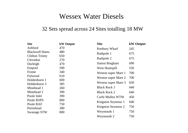#### Wessex Water Diesels

#### 32 Sets spread across 24 Sites totalling 18 MW

| <b>Site</b>            | kW Output | <b>Site</b>           | <b>kW</b> Output |  |
|------------------------|-----------|-----------------------|------------------|--|
| Ashford                | 470       | Portbury Wharf        | 245              |  |
| <b>Blackwell Hams</b>  | 480       | Radipole 1            | 675              |  |
| <b>Chilton Trinity</b> | 650       |                       |                  |  |
| Clevedon               | 270       | Radipole 2            | 675              |  |
| Durleigh               | 470       | <b>Sutton Bingham</b> | 690              |  |
| Empool                 | 500       | West Huntspill        | 550              |  |
| Frome                  | 340       | Weston super Mare 1   | 700              |  |
| Fulwood                | 610       | Weston super Mare 2   | 700              |  |
| Holdenhurst 1          | 600       |                       |                  |  |
| Holdenhurst 3          | 385       | Weston super Mare 3   | 650              |  |
| Minehead 1             | 260       | <b>Black Rock 1</b>   | 640              |  |
| Minehead 2             | 390       | <b>Black Rock 2</b>   | 640              |  |
| Poole Inlet            | 390       | Corfe Mullen WTW      | 450              |  |
| Poole RSPS             | 800       | Kingston Seymour 1    | 640              |  |
| Poole BAF              | 750       |                       |                  |  |
| Portishead             | 380       | Kingston Seymour 2    | 750              |  |
| <b>Swanage STW</b>     | 800       | Weymouth 1            | 750              |  |
|                        |           | Weymouth 2            | 750              |  |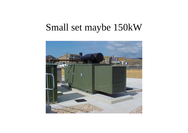### Small set maybe 150kW

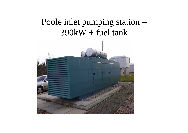### Poole inlet pumping station –  $390kW + fuel$  tank

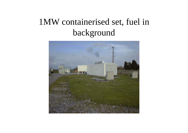### 1MW containerised set, fuel in background

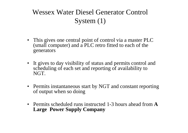### Wessex Water Diesel Generator Control System (1)

- This gives one central point of control via a master PLC (small computer) and a PLC retro fitted to each of the generators
- It gives to day visibility of status and permits control and scheduling of each set and reporting of availability to NGT.
- Permits instantaneous start by NGT and constant reporting of output when so doing
- Permits scheduled runs instructed 1-3 hours ahead from **A Large Power Supply Company**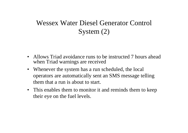### Wessex Water Diesel Generator Control System (2)

- Allows Triad avoidance runs to be instructed 7 hours ahead when Triad warnings are received
- Whenever the system has a run scheduled, the local operators are automatically sent an SMS message telling them that a run is about to start.
- This enables them to monitor it and reminds them to keep their eye on the fuel levels.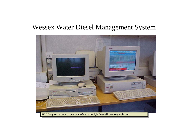

NGT Computer on the left, operator interface on the right Can dial in remotely via lap top. N G T Computer on the left, operator interface on the right Can dial in remotely via lap top.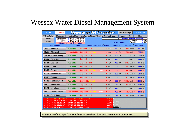| 8:56                                                                 | 1<br>Alarms                                          |                                                      |                                    | <b>Generator Set Overview</b>          |             |        |                                    | Site Messages       |                                | 07/06/2002               |
|----------------------------------------------------------------------|------------------------------------------------------|------------------------------------------------------|------------------------------------|----------------------------------------|-------------|--------|------------------------------------|---------------------|--------------------------------|--------------------------|
| <b>O/S Details</b>                                                   | <b>Modems</b>                                        | <b>Region Map</b>                                    |                                    | System Settings Graphic Display Alarms |             |        |                                    | <b>Trends</b>       | $\times$                       | <b>Next</b>              |
| Comms                                                                | Southern                                             | 6 MW Declared                                        |                                    |                                        |             |        |                                    |                     | <b>Reserve Service Enabled</b> |                          |
| <b>Notes</b>                                                         | WPD                                                  | 8<br>MW Declared                                     |                                    |                                        |             |        |                                    | <b>Power Output</b> | <b>Actual</b><br>Possible      | $\frac{0}{0}$ kw         |
|                                                                      | <b>Set Identity</b>                                  | <b>Site unavailable Declaration</b><br><b>Status</b> |                                    | <b>Commands Status Actual</b>          |             |        | <b>Possible</b>                    |                     | <b>Totaliser</b>               | <b>Run time</b>          |
| <b>No 01</b><br><b>Ashford</b>                                       |                                                      |                                                      |                                    |                                        |             |        |                                    |                     |                                |                          |
|                                                                      |                                                      | <b>Available</b>                                     | <b>Stopped</b>                     | <b>LM</b>                              |             | $0$ KW | <b>500 KW</b>                      |                     | 285.5 MW/Hr                    | 680 Hrs                  |
| <b>No 02</b>                                                         | <b>Blackwell</b>                                     | <b>Unavailable</b>                                   | <b>Stopped</b>                     |                                        |             | $0$ KW | <b>165 KW</b>                      |                     | 79.8 MW/Hr                     | <b>598 Hrs</b>           |
| <b>No 03</b>                                                         | <b>Chilton Trinity</b>                               | <b>Available</b>                                     | <b>Stopped</b>                     | <b>LM</b>                              |             | $0$ KW | 620 KW                             |                     | 23.4 MW/Hr                     | $61$ Hrs                 |
| <b>No 04</b>                                                         | Clevedon                                             | <b>Available</b>                                     | <b>Stopped</b>                     | <b>LM</b>                              |             | $0$ KW | <b>270 KW</b>                      |                     | 131.0 MW//Hr                   | 646 Hrs                  |
| <b>No 05</b>                                                         | <b>Durleigh</b>                                      | <b>Available</b>                                     | <b>Stopped</b>                     | <b>LM</b>                              |             | $0$ KW | 450 KW                             |                     | 256.4 MW/Hr                    | <b>664 Hrs</b>           |
| <b>No 06</b><br><b>Frome</b>                                         |                                                      | <b>Available</b>                                     | <b>Stopped</b>                     | <b>LM</b>                              |             | $0$ KW | 350 KW                             |                     | 184.7 MW/Hr                    | 693 Hrs                  |
| <b>No 07</b><br>Fulwood                                              |                                                      | <b>Available</b>                                     | <b>Stopped</b>                     |                                        | <b>Note</b> | $0$ KW | <b>580 KW</b>                      |                     | 366.0 MW/Hr                    | <b>813 Hrs</b>           |
| <b>No 08</b>                                                         | <b>Holdenhurst 1</b>                                 | <b>Available</b>                                     | <b>Stopped</b>                     | <b>LM</b>                              |             | $0$ KW | 562 KW                             |                     | 278.1 MW/Hr                    | <b>524 Hrs</b>           |
| <b>No 09</b><br><b>Empool</b>                                        |                                                      | <b>Available</b>                                     | <b>Stopped</b>                     | <b>LM</b>                              |             | $0$ KW | <b>500 KW</b>                      |                     | 70.2 MW/Hr                     | <b>355 Hrs</b>           |
| <b>No 10</b>                                                         | <b>Holdenhurst 3</b>                                 | <b>Available</b>                                     | <b>StoppedBL</b>                   |                                        |             | $0$ KW | <b>380 KW</b>                      |                     |                                | 1,080.6 MW/Hr 37,118 Hrs |
| <b>No 11</b>                                                         | <b>Poole BAF</b>                                     | <b>Available</b>                                     | <b>Stopped</b>                     | <b>LM</b>                              |             | $0$ KW | <b>750 KW</b>                      |                     | 184.8 MW//Hr                   | <b>258 Hrs</b>           |
| <b>No 12</b>                                                         | <b>Minehead</b>                                      | <b>Available</b>                                     | <b>Stopped</b>                     | LМ                                     |             | $0$ KW | 243 KW                             |                     | 158.5 MW/Hr                    | <b>763 Hrs</b>           |
| <b>No 13</b>                                                         | <b>Poole Eastern</b>                                 | <b>Unavailable</b>                                   | <b>StoppedBL</b>                   |                                        | <b>Note</b> | $0$ KW | <b>169 KW</b>                      |                     | 75.6 MW//Hr                    | <b>404 Hrs</b>           |
| <b>No 14</b>                                                         | <b>Poole Inlet</b>                                   | <b>Available</b>                                     | <b>Stopped</b>                     | LМ                                     |             | $0$ KW | 382 KW                             |                     | 184.7 MW/Hr                    | 879 Hrs                  |
| 07/06/02 09:42:46<br>LOW FUEL LEVEL<br>ALARM<br>GENSET 25<br>Modem 1 |                                                      |                                                      |                                    |                                        |             |        |                                    |                     |                                |                          |
| J                                                                    |                                                      | 06/06/02 15:21:17 GENSET 21 BLACKLIST                |                                    |                                        |             | ALARM  | Modem 2                            |                     |                                |                          |
| √                                                                    | 06/06/02 15:21:17 GENSET 13                          |                                                      | <b>BLACKLIST</b>                   |                                        |             | ALARM  | Modem 3                            |                     |                                |                          |
| Ñ                                                                    | 06/06/02 15:21:17 GENSET<br>06/06/02 15:21:17 GENSET | -10                                                  | <b>BLACKLIST</b><br>2 COMMON FAULT |                                        |             | ALARM  | Modem 4<br><b>ALARM Call Stack</b> |                     |                                |                          |
| J                                                                    |                                                      |                                                      |                                    |                                        |             |        |                                    |                     |                                |                          |

Operator interface page: Overview Page showing first 14 sets with various status's simulated.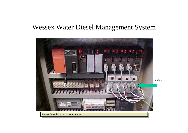

Master Control PLC, with its 4 modems.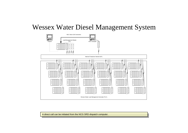

A direct call can be initiated from the NCG SRD dispatch computer.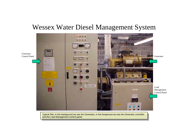

Typical Site: In the background we see the Generator, in the foreground we see the Generator controller T y pical Site: In the background we see the Generator, in the foreground we see the Generator controller and the Load Management control panel. and the Load Management control pan el.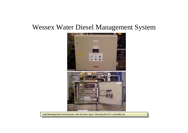

Load Management control panel, with the door open. Showing the PLC controller etc.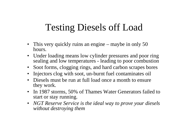## Testing Diesels off Load

- This very quickly ruins an engine maybe in only 50 hours.
- $\bullet$  Under loading means low cylinder pressures and poor ring sealing and low temperatures - leading to poor combustion
- $\bullet$ Soot forms, clogging rings, and hard carbon scrapes bores
- $\bullet$ Injectors clog with soot, un-burnt fuel contaminates oil
- Diesels must be run at full load once a month to ensure they work.
- $\bullet$  In 1987 storms, 50% of Thames Water Generators failed to start or stay running.
- *NGT Reserve Service is the ideal way to prove your diesels without destroying them*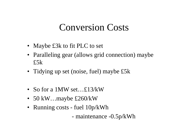### Conversion Costs

- Maybe £3k to fit PLC to set
- Paralleling gear (allows grid connection) maybe £5k
- Tidying up set (noise, fuel) maybe £5k
- So for a 1MW set…£13/kW
- 50 kW…maybe £260/kW
- Running costs fuel 10p/kWh
	- maintenance -0.5p/kWh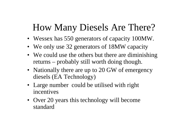# How Many Diesels Are There?

- Wessex has 550 generators of capacity 100MW.
- We only use 32 generators of 18MW capacity
- We could use the others but there are diminishing returns – probably still worth doing though.
- Nationally there are up to 20 GW of emergency diesels (EA Technology)
- Large number could be utilised with right incentives
- Over 20 years this technology will become standard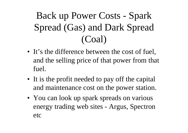# Back up Power Costs - Spark Spread (Gas) and Dark Spread (Coal)

- It's the difference between the cost of fuel, and the selling price of that power from that fuel.
- It is the profit needed to pay off the capital and maintenance cost on the power station.
- You can look up spark spreads on various energy trading web sites - Argus, Spectron etc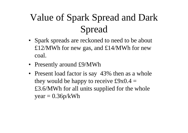# Value of Spark Spread and Dark Spread

- Spark spreads are reckoned to need to be about £12/MWh for new gas, and £14/MWh for new coal.
- Presently around £9/MWh
- Present load factor is say 43% then as a whole they would be happy to receive  $\text{\pounds}9x0.4 =$ £3.6/MWh for all units supplied for the whole  $year = 0.36p/kWh$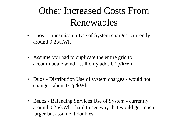## Other Increased Costs From Renewables

- Tuos Transmission Use of System charges- currently around 0.2p/kWh
- $\bullet$  Assume you had to duplicate the entire grid to accommodate wind - still only adds 0.2p/kWh
- Duos Distribution Use of system charges would not change - about 0.2p/kWh.
- $\bullet$  Bsuos - Balancing Services Use of System - currently around 0.2p/kWh - hard to see why that would get much larger but assume it doubles.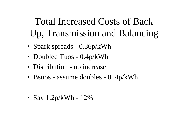# Total Increased Costs of Back Up, Transmission and Balancing

- Spark spreads 0.36p/kWh
- Doubled Tuos 0.4p/kWh
- Distribution no increase
- Bsuos assume doubles 0. 4p/kWh

• Say 1.2p/kWh - 12%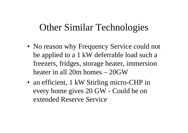### Other Similar Technologies

- No reason why Frequency Service could not be applied to a 1 kW deferrable load such a freezers, fridges, storage heater, immersion heater in all 20m homes – 20GW
- an efficient, 1 kW Stirling micro-CHP in every home gives 20 GW - Could be on extended Reserve Service